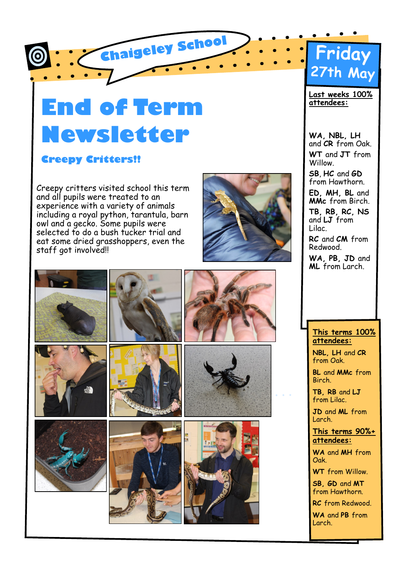

# **End of Term Newsletter**

#### **Creepy Critters!!**

Creepy critters visited school this term and all pupils were treated to an experience with a variety of animals including a royal python, tarantula, barn owl and a gecko. Some pupils were selected to do a bush tucker trial and eat some dried grasshoppers, even the staff got involved!!







**Last weeks 100% attendees:** 

**WA, NBL, LH**  and **CR** from Oak. **WT** and **JT** from Willow.

**SB**, **HC** and **GD**  from Hawthorn.

**ED, MH, BL** and **MMc** from Birch.

**TB, RB, RC, NS**  and **LJ** from Lilac.

**RC** and **CM** from Redwood.

**WA, PB, JD** and **ML** from Larch.

#### **This terms 100% attendees:**

**NBL, LH** and **CR**  from Oak.

**BL** and **MMc** from Birch.

**TB, RB** and **LJ**  from Lilac.

**JD** and **ML** from Larch.

**This terms 90%+ attendees:**

**WA** and **MH** from Oak.

**WT** from Willow.

**SB, GD** and **MT**  from Hawthorn.

**RC** from Redwood.

**WA** and **PB** from Larch.